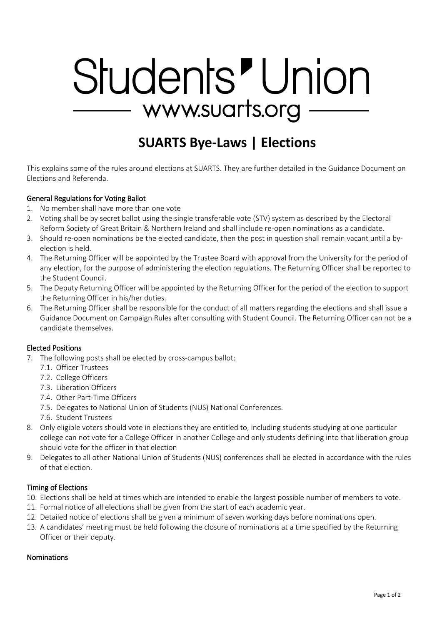# Students' Union — www.suarts.org –

# **SUARTS Bye-Laws | Elections**

This explains some of the rules around elections at SUARTS. They are further detailed in the Guidance Document on Elections and Referenda.

# General Regulations for Voting Ballot

- 1. No member shall have more than one vote
- 2. Voting shall be by secret ballot using the single transferable vote (STV) system as described by the Electoral Reform Society of Great Britain & Northern Ireland and shall include re-open nominations as a candidate.
- 3. Should re-open nominations be the elected candidate, then the post in question shall remain vacant until a byelection is held.
- 4. The Returning Officer will be appointed by the Trustee Board with approval from the University for the period of any election, for the purpose of administering the election regulations. The Returning Officer shall be reported to the Student Council.
- 5. The Deputy Returning Officer will be appointed by the Returning Officer for the period of the election to support the Returning Officer in his/her duties.
- 6. The Returning Officer shall be responsible for the conduct of all matters regarding the elections and shall issue a Guidance Document on Campaign Rules after consulting with Student Council. The Returning Officer can not be a candidate themselves.

#### Elected Positions

- 7. The following posts shall be elected by cross-campus ballot:
	- 7.1. Officer Trustees
	- 7.2. College Officers
	- 7.3. Liberation Officers
	- 7.4. Other Part-Time Officers
	- 7.5. Delegates to National Union of Students (NUS) National Conferences.
	- 7.6. Student Trustees
- 8. Only eligible voters should vote in elections they are entitled to, including students studying at one particular college can not vote for a College Officer in another College and only students defining into that liberation group should vote for the officer in that election
- 9. Delegates to all other National Union of Students (NUS) conferences shall be elected in accordance with the rules of that election.

#### Timing of Elections

- 10. Elections shall be held at times which are intended to enable the largest possible number of members to vote.
- 11. Formal notice of all elections shall be given from the start of each academic year.
- 12. Detailed notice of elections shall be given a minimum of seven working days before nominations open.
- 13. A candidates' meeting must be held following the closure of nominations at a time specified by the Returning Officer or their deputy.

#### Nominations